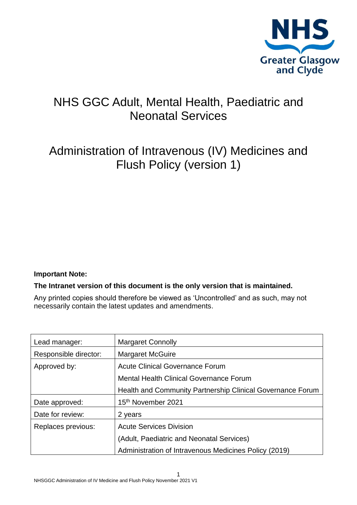

# NHS GGC Adult, Mental Health, Paediatric and Neonatal Services

# Administration of Intravenous (IV) Medicines and Flush Policy (version 1)

## **Important Note:**

#### **The Intranet version of this document is the only version that is maintained.**

Any printed copies should therefore be viewed as 'Uncontrolled' and as such, may not necessarily contain the latest updates and amendments.

| Lead manager:         | <b>Margaret Connolly</b>                                   |
|-----------------------|------------------------------------------------------------|
| Responsible director: | <b>Margaret McGuire</b>                                    |
| Approved by:          | Acute Clinical Governance Forum                            |
|                       | <b>Mental Health Clinical Governance Forum</b>             |
|                       | Health and Community Partnership Clinical Governance Forum |
| Date approved:        | 15 <sup>th</sup> November 2021                             |
| Date for review:      | 2 years                                                    |
| Replaces previous:    | <b>Acute Services Division</b>                             |
|                       | (Adult, Paediatric and Neonatal Services)                  |
|                       | Administration of Intravenous Medicines Policy (2019)      |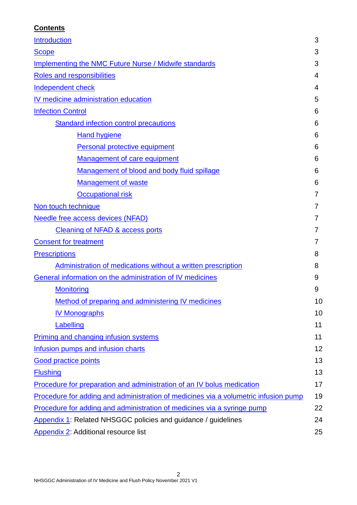# **Contents**

<span id="page-1-0"></span>

| <b>Introduction</b>                                                                 | 3  |
|-------------------------------------------------------------------------------------|----|
| <b>Scope</b>                                                                        |    |
| <b>Implementing the NMC Future Nurse / Midwife standards</b>                        |    |
| <b>Roles and responsibilities</b>                                                   |    |
| Independent check                                                                   |    |
| IV medicine administration education                                                |    |
| <b>Infection Control</b>                                                            | 6  |
| <b>Standard infection control precautions</b>                                       | 6  |
| <b>Hand hygiene</b>                                                                 | 6  |
| Personal protective equipment                                                       | 6  |
| <b>Management of care equipment</b>                                                 | 6  |
| Management of blood and body fluid spillage                                         | 6  |
| <b>Management of waste</b>                                                          | 6  |
| <b>Occupational risk</b>                                                            | 7  |
| Non touch technique                                                                 |    |
| <b>Needle free access devices (NFAD)</b>                                            | 7  |
| <b>Cleaning of NFAD &amp; access ports</b>                                          | 7  |
| <b>Consent for treatment</b>                                                        |    |
| <b>Prescriptions</b>                                                                | 8  |
| Administration of medications without a written prescription                        | 8  |
| General information on the administration of IV medicines                           | 9  |
| <b>Monitoring</b>                                                                   |    |
| <b>Method of preparing and administering IV medicines</b>                           | 10 |
| <b>IV Monographs</b>                                                                | 10 |
| Labelling                                                                           | 11 |
| <b>Priming and changing infusion systems</b>                                        |    |
| Infusion pumps and infusion charts                                                  |    |
| <b>Good practice points</b>                                                         | 13 |
| <b>Flushing</b>                                                                     | 13 |
| Procedure for preparation and administration of an IV bolus medication              | 17 |
| Procedure for adding and administration of medicines via a volumetric infusion pump | 19 |
| Procedure for adding and administration of medicines via a syringe pump             | 22 |
| <b>Appendix 1:</b> Related NHSGGC policies and guidance / guidelines                | 24 |
| <b>Appendix 2: Additional resource list</b>                                         | 25 |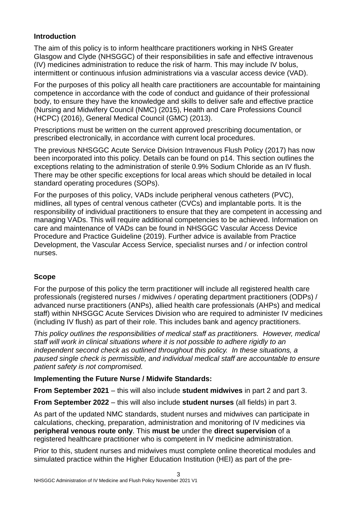# **Introduction**

The aim of this policy is to inform healthcare practitioners working in NHS Greater Glasgow and Clyde (NHSGGC) of their responsibilities in safe and effective intravenous (IV) medicines administration to reduce the risk of harm. This may include IV bolus, intermittent or continuous infusion administrations via a vascular access device (VAD).

For the purposes of this policy all health care practitioners are accountable for maintaining competence in accordance with the code of conduct and guidance of their professional body, to ensure they have the knowledge and skills to deliver safe and effective practice (Nursing and Midwifery Council (NMC) (2015), Health and Care Professions Council (HCPC) (2016), General Medical Council (GMC) (2013).

Prescriptions must be written on the current approved prescribing documentation, or prescribed electronically, in accordance with current local procedures.

The previous NHSGGC Acute Service Division Intravenous Flush Policy (2017) has now been incorporated into this policy. Details can be found on p14. This section outlines the exceptions relating to the administration of sterile 0.9% Sodium Chloride as an IV flush. There may be other specific exceptions for local areas which should be detailed in local standard operating procedures (SOPs).

For the purposes of this policy, VADs include peripheral venous catheters (PVC), midlines, all types of central venous catheter (CVCs) and implantable ports. It is the responsibility of individual practitioners to ensure that they are competent in accessing and managing VADs. This will require additional competencies to be achieved. Information on care and maintenance of VADs can be found in NHSGGC Vascular Access Device Procedure and Practice Guideline (2019). Further advice is available from Practice Development, the Vascular Access Service, specialist nurses and / or infection control nurses.

# <span id="page-2-0"></span>**Scope**

For the purpose of this policy the term practitioner will include all registered health care professionals (registered nurses / midwives / operating department practitioners (ODPs) / advanced nurse practitioners (ANPs), allied health care professionals (AHPs) and medical staff) within NHSGGC Acute Services Division who are required to administer IV medicines (including IV flush) as part of their role. This includes bank and agency practitioners.

*This policy outlines the responsibilities of medical staff as practitioners. However, medical staff will work in clinical situations where it is not possible to adhere rigidly to an independent second check as outlined throughout this policy. In these situations, a paused single check is permissible, and individual medical staff are accountable to ensure patient safety is not compromised.* 

<span id="page-2-1"></span>**Implementing the Future Nurse / Midwife Standards:**

**From September 2021** – this will also include **student midwives** in part 2 and part 3.

**From September 2022** – this will also include **student nurses** (all fields) in part 3.

As part of the updated NMC standards, student nurses and midwives can participate in calculations, checking, preparation, administration and monitoring of IV medicines via **peripheral venous route only**. This **must be** under the **direct supervision** of a registered healthcare practitioner who is competent in IV medicine administration.

Prior to this, student nurses and midwives must complete online theoretical modules and simulated practice within the Higher Education Institution (HEI) as part of the pre-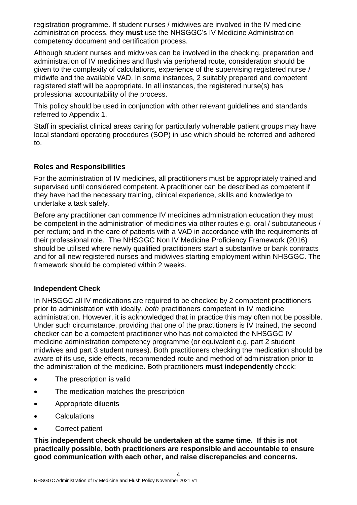registration programme. If student nurses / midwives are involved in the IV medicine administration process, they **must** use the NHSGGC's IV Medicine Administration competency document and certification process.

Although student nurses and midwives can be involved in the checking, preparation and administration of IV medicines and flush via peripheral route, consideration should be given to the complexity of calculations, experience of the supervising registered nurse / midwife and the available VAD. In some instances, 2 suitably prepared and competent registered staff will be appropriate. In all instances, the registered nurse(s) has professional accountability of the process.

This policy should be used in conjunction with other relevant guidelines and standards referred to Appendix 1.

Staff in specialist clinical areas caring for particularly vulnerable patient groups may have local standard operating procedures (SOP) in use which should be referred and adhered to.

#### <span id="page-3-0"></span>**Roles and Responsibilities**

For the administration of IV medicines, all practitioners must be appropriately trained and supervised until considered competent. A practitioner can be described as competent if they have had the necessary training, clinical experience, skills and knowledge to undertake a task safely.

Before any practitioner can commence IV medicines administration education they must be competent in the administration of medicines via other routes e.g. oral / subcutaneous / per rectum; and in the care of patients with a VAD in accordance with the requirements of their professional role. The NHSGGC Non IV Medicine Proficiency Framework (2016) should be utilised where newly qualified practitioners start a substantive or bank contracts and for all new registered nurses and midwives starting employment within NHSGGC. The framework should be completed within 2 weeks.

## <span id="page-3-1"></span>**Independent Check**

In NHSGGC all IV medications are required to be checked by 2 competent practitioners prior to administration with ideally, *both* practitioners competent in IV medicine administration. However, it is acknowledged that in practice this may often not be possible. Under such circumstance, providing that one of the practitioners is IV trained, the second checker can be a competent practitioner who has not completed the NHSGGC IV medicine administration competency programme (or equivalent e.g. part 2 student midwives and part 3 student nurses). Both practitioners checking the medication should be aware of its use, side effects, recommended route and method of administration prior to the administration of the medicine. Both practitioners **must independently** check:

- The prescription is valid
- The medication matches the prescription
- Appropriate diluents
- Calculations
- Correct patient

**This independent check should be undertaken at the same time. If this is not practically possible, both practitioners are responsible and accountable to ensure good communication with each other, and raise discrepancies and concerns.**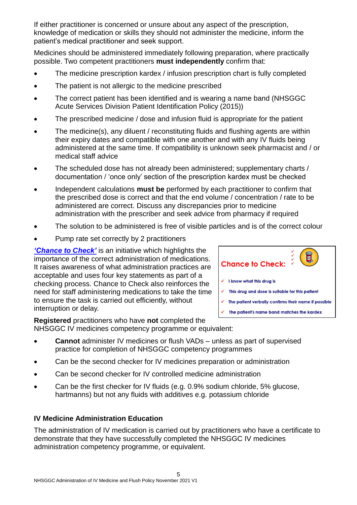If either practitioner is concerned or unsure about any aspect of the prescription, knowledge of medication or skills they should not administer the medicine, inform the patient's medical practitioner and seek support.

Medicines should be administered immediately following preparation, where practically possible. Two competent practitioners **must independently** confirm that:

- The medicine prescription kardex / infusion prescription chart is fully completed
- The patient is not allergic to the medicine prescribed
- The correct patient has been identified and is wearing a name band (NHSGGC Acute Services Division Patient Identification Policy (2015))
- The prescribed medicine / dose and infusion fluid is appropriate for the patient
- The medicine(s), any diluent / reconstituting fluids and flushing agents are within their expiry dates and compatible with one another and with any IV fluids being administered at the same time. If compatibility is unknown seek pharmacist and / or medical staff advice
- The scheduled dose has not already been administered; supplementary charts / documentation / 'once only' section of the prescription kardex must be checked
- Independent calculations **must be** performed by each practitioner to confirm that the prescribed dose is correct and that the end volume / concentration / rate to be administered are correct. Discuss any discrepancies prior to medicine administration with the prescriber and seek advice from pharmacy if required
- The solution to be administered is free of visible particles and is of the correct colour
- Pump rate set correctly by 2 practitioners

*['Chance to Check'](http://www.staffnet.ggc.scot.nhs.uk/Corporate%20Services/Clinical%20Governance/Clinical%20Risk/Pages/ChancetoCheckPage.aspx)* is an initiative which highlights the importance of the correct administration of medications. It raises awareness of what administration practices are acceptable and uses four key statements as part of a checking process. Chance to Check also reinforces the need for staff administering medications to take the time to ensure the task is carried out efficiently, without interruption or delay.

T **Chance to Check:**  $\checkmark$  I know what this drug is This drug and dose is suitable for this patient  $\checkmark$  The patient verbally confirms their name if possible

The patient's name band matches the kardex

**Registered** practitioners who have **not** completed the NHSGGC IV medicines competency programme or equivalent:

- **Cannot** administer IV medicines or flush VADs unless as part of supervised practice for completion of NHSGGC competency programmes
- Can be the second checker for IV medicines preparation or administration
- Can be second checker for IV controlled medicine administration
- Can be the first checker for IV fluids (e.g. 0.9% sodium chloride, 5% glucose, hartmanns) but not any fluids with additives e.g. potassium chloride

#### <span id="page-4-0"></span>**IV Medicine Administration Education**

The administration of IV medication is carried out by practitioners who have a certificate to demonstrate that they have successfully completed the NHSGGC IV medicines administration competency programme, or equivalent.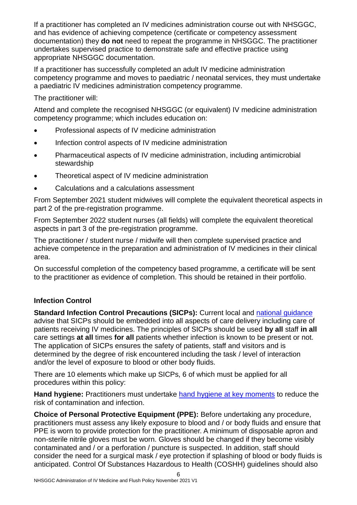If a practitioner has completed an IV medicines administration course out with NHSGGC, and has evidence of achieving competence (certificate or competency assessment documentation) they **do not** need to repeat the programme in NHSGGC. The practitioner undertakes supervised practice to demonstrate safe and effective practice using appropriate NHSGGC documentation.

If a practitioner has successfully completed an adult IV medicine administration competency programme and moves to paediatric / neonatal services, they must undertake a paediatric IV medicines administration competency programme.

The practitioner will:

Attend and complete the recognised NHSGGC (or equivalent) IV medicine administration competency programme; which includes education on:

- Professional aspects of IV medicine administration
- Infection control aspects of IV medicine administration
- Pharmaceutical aspects of IV medicine administration, including antimicrobial stewardship
- Theoretical aspect of IV medicine administration
- Calculations and a calculations assessment

From September 2021 student midwives will complete the equivalent theoretical aspects in part 2 of the pre-registration programme.

From September 2022 student nurses (all fields) will complete the equivalent theoretical aspects in part 3 of the pre-registration programme.

The practitioner / student nurse / midwife will then complete supervised practice and achieve competence in the preparation and administration of IV medicines in their clinical area.

On successful completion of the competency based programme, a certificate will be sent to the practitioner as evidence of completion. This should be retained in their portfolio.

## <span id="page-5-0"></span>**Infection Control**

<span id="page-5-1"></span>**Standard Infection Control Precautions (SICPs):** Current local and national quidance advise that SICPs should be embedded into all aspects of care delivery including care of patients receiving IV medicines. The principles of SICPs should be used **by all** staff **in all**  care settings **at all** times **for all** patients whether infection is known to be present or not. The application of SICPs ensures the safety of patients, staff and visitors and is determined by the degree of risk encountered including the task / level of interaction and/or the level of exposure to blood or other body fluids.

There are 10 elements which make up SICPs, 6 of which must be applied for all procedures within this policy:

<span id="page-5-2"></span>Hand hygiene: Practitioners must undertake [hand hygiene at key moments](http://www.nhsggc.org.uk/your-health/infection-prevention-and-control/hand-hygiene/) to reduce the risk of contamination and infection.

<span id="page-5-3"></span>**Choice of Personal Protective Equipment (PPE):** Before undertaking any procedure, practitioners must assess any likely exposure to blood and / or body fluids and ensure that PPE is worn to provide protection for the practitioner. A minimum of disposable apron and non-sterile nitrile gloves must be worn. Gloves should be changed if they become visibly contaminated and / or a perforation / puncture is suspected. In addition, staff should consider the need for a surgical mask / eye protection if splashing of blood or body fluids is anticipated. Control Of Substances Hazardous to Health (COSHH) guidelines should also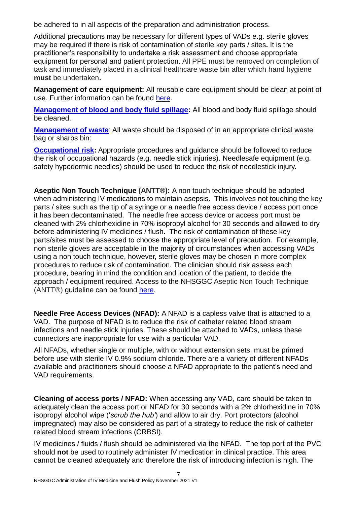be adhered to in all aspects of the preparation and administration process.

Additional precautions may be necessary for different types of VADs e.g. sterile gloves may be required if there is risk of contamination of sterile key parts / sites**.** It is the practitioner's responsibility to undertake a risk assessment and choose appropriate equipment for personal and patient protection. All PPE must be removed on completion of task and immediately placed in a clinical healthcare waste bin after which hand hygiene **must** be undertaken**.** 

<span id="page-6-0"></span>**Management of care equipment:** All reusable care equipment should be clean at point of use. Further information can be found [here.](https://www.nhsggc.org.uk/your-health/infection-prevention-and-control/decontamination/)

<span id="page-6-1"></span>**[Management of blood and body fluid spillage:](https://www.nipcm.hps.scot.nhs.uk/chapter-1-standard-infection-control-precautions-sicps/#a1084)** All blood and body fluid spillage should be cleaned.

<span id="page-6-2"></span>**[Management of waste](http://www.nipcm.scot.nhs.uk/chapter-1-standard-infection-control-precautions-sicps/)**: All waste should be disposed of in an appropriate clinical waste bag or sharps bin:

<span id="page-6-3"></span>**[Occupational risk:](http://www.nipcm.scot.nhs.uk/chapter-1-standard-infection-control-precautions-sicps/)** Appropriate procedures and quidance should be followed to reduce the risk of occupational hazards (e.g. needle stick injuries). Needlesafe equipment (e.g. safety hypodermic needles) should be used to reduce the risk of needlestick injury.

<span id="page-6-4"></span>**Aseptic Non Touch Technique (ANTT®):** A non touch technique should be adopted when administering IV medications to maintain asepsis. This involves not touching the key parts / sites such as the tip of a syringe or a needle free access device / access port once it has been decontaminated. The needle free access device or access port must be cleaned with 2% chlorhexidine in 70% isopropyl alcohol for 30 seconds and allowed to dry before administering IV medicines / flush. The risk of contamination of these key parts/sites must be assessed to choose the appropriate level of precaution. For example, non sterile gloves are acceptable in the majority of circumstances when accessing VADs using a non touch technique, however, sterile gloves may be chosen in more complex procedures to reduce risk of contamination. The clinician should risk assess each procedure, bearing in mind the condition and location of the patient, to decide the approach / equipment required. Access to the NHSGGC Aseptic Non Touch Technique (ANTT®) guideline can be found [here.](http://www.staffnet.ggc.scot.nhs.uk/Acute/Division%20Wide%20Services/Practice%20Development/Pages/ANTT.aspx)

<span id="page-6-5"></span>**Needle Free Access Devices (NFAD):** A NFAD is a capless valve that is attached to a VAD. The purpose of NFAD is to reduce the risk of catheter related blood stream infections and needle stick injuries. These should be attached to VADs, unless these connectors are inappropriate for use with a particular VAD.

All NFADs, whether single or multiple, with or without extension sets, must be primed before use with sterile IV 0.9% sodium chloride. There are a variety of different NFADs available and practitioners should choose a NFAD appropriate to the patient's need and VAD requirements.

<span id="page-6-6"></span>**Cleaning of access ports / NFAD:** When accessing any VAD, care should be taken to adequately clean the access port or NFAD for 30 seconds with a 2% chlorhexidine in 70% isopropyl alcohol wipe ('*scrub the hub'*) and allow to air dry. Port protectors (alcohol impregnated) may also be considered as part of a strategy to reduce the risk of catheter related blood stream infections (CRBSI).

IV medicines / fluids / flush should be administered via the NFAD. The top port of the PVC should **not** be used to routinely administer IV medication in clinical practice. This area cannot be cleaned adequately and therefore the risk of introducing infection is high. The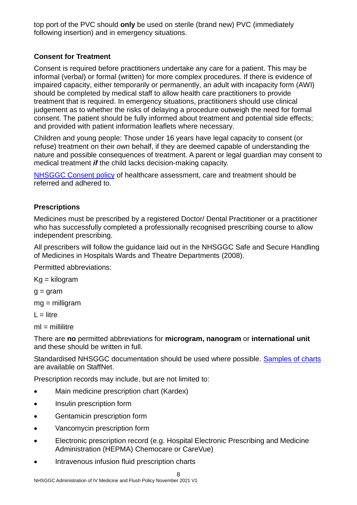<span id="page-7-0"></span>top port of the PVC should **only** be used on sterile (brand new) PVC (immediately following insertion) and in emergency situations.

# **Consent for Treatment**

Consent is required before practitioners undertake any care for a patient. This may be informal (verbal) or formal (written) for more complex procedures. If there is evidence of impaired capacity, either temporarily or permanently, an adult with incapacity form (AWI) should be completed by medical staff to allow health care practitioners to provide treatment that is required. In emergency situations, practitioners should use clinical judgement as to whether the risks of delaying a procedure outweigh the need for formal consent. The patient should be fully informed about treatment and potential side effects; and provided with patient information leaflets where necessary.

Children and young people: Those under 16 years have legal capacity to consent (or refuse) treatment on their own behalf, if they are deemed capable of understanding the nature and possible consequences of treatment. A parent or legal guardian may consent to medical treatment *if* the child lacks decision-making capacity.

[NHSGGC Consent policy](http://www.staffnet.ggc.scot.nhs.uk/Corporate%20Services/Clinical%20Governance/Key%20Information/Consent%20to%20Treatment/Consent%20Policy%20FINAL.pdf) of healthcare assessment, care and treatment should be referred and adhered to.

# <span id="page-7-1"></span>**Prescriptions**

Medicines must be prescribed by a registered Doctor/ Dental Practitioner or a practitioner who has successfully completed a professionally recognised prescribing course to allow independent prescribing.

All prescribers will follow the guidance laid out in the NHSGGC Safe and Secure Handling of Medicines in Hospitals Wards and Theatre Departments (2008).

Permitted abbreviations:

Kg = kilogram

 $g = gram$ 

 $mg =$  milligram

 $L =$  litre

 $ml = millilitre$ 

There are **no** permitted abbreviations for **microgram, nanogram** or **international unit** and these should be written in full.

Standardised NHSGGC documentation should be used where possible. [Samples](http://www.staffnet.ggc.scot.nhs.uk/Clinical%20Info/MPC/Pages/MPCHP.aspx) of charts are available on StaffNet.

Prescription records may include, but are not limited to:

- Main medicine prescription chart (Kardex)
- Insulin prescription form
- Gentamicin prescription form
- Vancomycin prescription form
- Electronic prescription record (e.g. Hospital Electronic Prescribing and Medicine Administration (HEPMA) Chemocare or CareVue)
- Intravenous infusion fluid prescription charts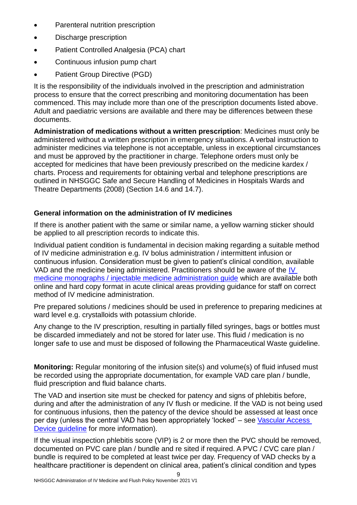- Parenteral nutrition prescription
- Discharge prescription
- Patient Controlled Analgesia (PCA) chart
- Continuous infusion pump chart
- Patient Group Directive (PGD)

It is the responsibility of the individuals involved in the prescription and administration process to ensure that the correct prescribing and monitoring documentation has been commenced. This may include more than one of the prescription documents listed above. Adult and paediatric versions are available and there may be differences between these documents.

<span id="page-8-0"></span>**Administration of medications without a written prescription**: Medicines must only be administered without a written prescription in emergency situations. A verbal instruction to administer medicines via telephone is not acceptable, unless in exceptional circumstances and must be approved by the practitioner in charge. Telephone orders must only be accepted for medicines that have been previously prescribed on the medicine kardex / charts. Process and requirements for obtaining verbal and telephone prescriptions are outlined in NHSGGC Safe and Secure Handling of Medicines in Hospitals Wards and Theatre Departments (2008) (Section 14.6 and 14.7).

# <span id="page-8-1"></span>**General information on the administration of IV medicines**

If there is another patient with the same or similar name, a yellow warning sticker should be applied to all prescription records to indicate this.

Individual patient condition is fundamental in decision making regarding a suitable method of IV medicine administration e.g. IV bolus administration / intermittent infusion or continuous infusion. Consideration must be given to patient's clinical condition, available VAD and the medicine being administered. Practitioners should be aware of the [IV](https://scottish.sharepoint.com/sites/GGC-ClinicalInfo)  [medicine monographs / injectable medicine administration guide](https://scottish.sharepoint.com/sites/GGC-ClinicalInfo) which are available both online and hard copy format in acute clinical areas providing guidance for staff on correct method of IV medicine administration.

Pre prepared solutions / medicines should be used in preference to preparing medicines at ward level e.g. crystalloids with potassium chloride.

Any change to the IV prescription, resulting in partially filled syringes, bags or bottles must be discarded immediately and not be stored for later use. This fluid / medication is no longer safe to use and must be disposed of following the Pharmaceutical Waste guideline.

<span id="page-8-2"></span>**Monitoring:** Regular monitoring of the infusion site(s) and volume(s) of fluid infused must be recorded using the appropriate documentation, for example VAD care plan / bundle, fluid prescription and fluid balance charts.

The VAD and insertion site must be checked for patency and signs of phlebitis before, during and after the administration of any IV flush or medicine. If the VAD is not being used for continuous infusions, then the patency of the device should be assessed at least once per day (unless the central VAD has been appropriately 'locked' – see [Vascular Access](http://www.staffnet.ggc.scot.nhs.uk/Acute/Division%20Wide%20Services/Practice%20Development/GGC%20PD%20Calendar/Pages/default.aspx)  [Device guideline](http://www.staffnet.ggc.scot.nhs.uk/Acute/Division%20Wide%20Services/Practice%20Development/GGC%20PD%20Calendar/Pages/default.aspx) for more information).

If the visual inspection phlebitis score (VIP) is 2 or more then the PVC should be removed, documented on PVC care plan / bundle and re sited if required. A PVC / CVC care plan / bundle is required to be completed at least twice per day. Frequency of VAD checks by a healthcare practitioner is dependent on clinical area, patient's clinical condition and types

9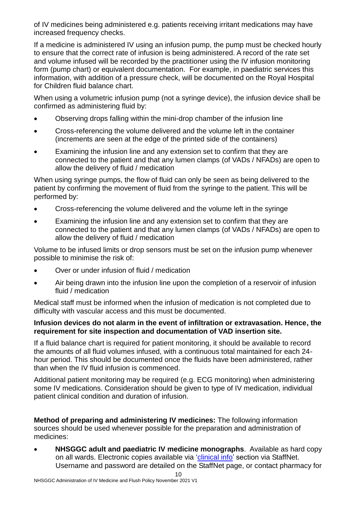of IV medicines being administered e.g. patients receiving irritant medications may have increased frequency checks.

If a medicine is administered IV using an infusion pump, the pump must be checked hourly to ensure that the correct rate of infusion is being administered. A record of the rate set and volume infused will be recorded by the practitioner using the IV infusion monitoring form (pump chart) or equivalent documentation. For example, in paediatric services this information, with addition of a pressure check, will be documented on the Royal Hospital for Children fluid balance chart.

When using a volumetric infusion pump (not a syringe device), the infusion device shall be confirmed as administering fluid by:

- Observing drops falling within the mini-drop chamber of the infusion line
- Cross-referencing the volume delivered and the volume left in the container (increments are seen at the edge of the printed side of the containers)
- Examining the infusion line and any extension set to confirm that they are connected to the patient and that any lumen clamps (of VADs / NFADs) are open to allow the delivery of fluid / medication

When using syringe pumps, the flow of fluid can only be seen as being delivered to the patient by confirming the movement of fluid from the syringe to the patient. This will be performed by:

- Cross-referencing the volume delivered and the volume left in the syringe
- Examining the infusion line and any extension set to confirm that they are connected to the patient and that any lumen clamps (of VADs / NFADs) are open to allow the delivery of fluid / medication

Volume to be infused limits or drop sensors must be set on the infusion pump whenever possible to minimise the risk of:

- Over or under infusion of fluid / medication
- Air being drawn into the infusion line upon the completion of a reservoir of infusion fluid / medication

Medical staff must be informed when the infusion of medication is not completed due to difficulty with vascular access and this must be documented.

#### **Infusion devices do not alarm in the event of infiltration or extravasation. Hence, the requirement for site inspection and documentation of VAD insertion site.**

If a fluid balance chart is required for patient monitoring, it should be available to record the amounts of all fluid volumes infused, with a continuous total maintained for each 24 hour period. This should be documented once the fluids have been administered, rather than when the IV fluid infusion is commenced.

Additional patient monitoring may be required (e.g. ECG monitoring) when administering some IV medications. Consideration should be given to type of IV medication, individual patient clinical condition and duration of infusion.

<span id="page-9-0"></span>**Method of preparing and administering IV medicines:** The following information sources should be used whenever possible for the preparation and administration of medicines:

<span id="page-9-1"></span> **NHSGGC adult and paediatric IV medicine monographs**. Available as hard copy on all wards. Electronic copies available via ['clinical info'](https://scottish.sharepoint.com/sites/GGC-ClinicalInfo) section via StaffNet. Username and password are detailed on the StaffNet page, or contact pharmacy for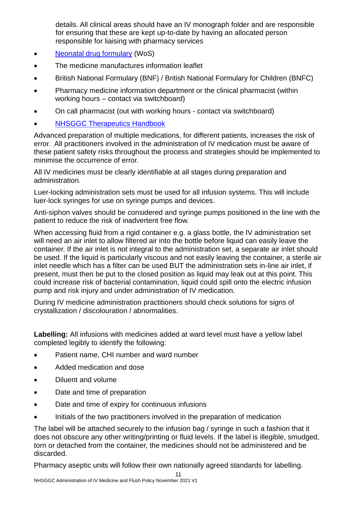details. All clinical areas should have an IV monograph folder and are responsible for ensuring that these are kept up-to-date by having an allocated person responsible for liaising with pharmacy services

- [Neonatal drug formulary](http://www.knowledge.scot.nhs.uk/child-services/communities-of-practice/neonatal-managed-clinical-networks/west-of-scotland/neonatal-drug-formulary-(wos).aspx) (WoS)
- The medicine manufactures information leaflet
- British National Formulary (BNF) / British National Formulary for Children (BNFC)
- Pharmacy medicine information department or the clinical pharmacist (within working hours – contact via switchboard)
- On call pharmacist (out with working hours contact via switchboard)
- [NHSGGC Therapeutics Handbook](https://handbook.ggcmedicines.org.uk/)

Advanced preparation of multiple medications, for different patients, increases the risk of error. All practitioners involved in the administration of IV medication must be aware of these patient safety risks throughout the process and strategies should be implemented to minimise the occurrence of error.

All IV medicines must be clearly identifiable at all stages during preparation and administration.

Luer-locking administration sets must be used for all infusion systems. This will include luer-lock syringes for use on syringe pumps and devices.

Anti-siphon valves should be considered and syringe pumps positioned in the line with the patient to reduce the risk of inadvertent free flow.

When accessing fluid from a rigid container e.g. a glass bottle, the IV administration set will need an air inlet to allow filtered air into the bottle before liquid can easily leave the container. If the air inlet is not integral to the administration set, a separate air inlet should be used. If the liquid is particularly viscous and not easily leaving the container, a sterile air inlet needle which has a filter can be used BUT the administration sets in-line air inlet, if present, must then be put to the closed position as liquid may leak out at this point. This could increase risk of bacterial contamination, liquid could spill onto the electric infusion pump and risk injury and under administration of IV medication.

During IV medicine administration practitioners should check solutions for signs of crystallization / discolouration / abnormalities.

<span id="page-10-0"></span>**Labelling:** All infusions with medicines added at ward level must have a yellow label completed legibly to identify the following:

- Patient name, CHI number and ward number
- Added medication and dose
- Diluent and volume
- Date and time of preparation
- Date and time of expiry for continuous infusions
- Initials of the two practitioners involved in the preparation of medication

The label will be attached securely to the infusion bag / syringe in such a fashion that it does not obscure any other writing/printing or fluid levels. If the label is illegible, smudged, torn or detached from the container, the medicines should not be administered and be discarded.

Pharmacy aseptic units will follow their own nationally agreed standards for labelling.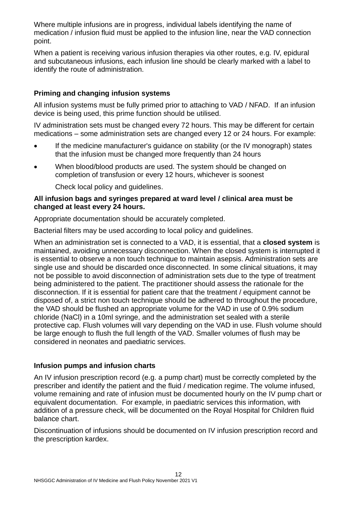Where multiple infusions are in progress, individual labels identifying the name of medication / infusion fluid must be applied to the infusion line, near the VAD connection point.

When a patient is receiving various infusion therapies via other routes, e.g. IV, epidural and subcutaneous infusions, each infusion line should be clearly marked with a label to identify the route of administration.

### <span id="page-11-0"></span>**Priming and changing infusion systems**

All infusion systems must be fully primed prior to attaching to VAD / NFAD. If an infusion device is being used, this prime function should be utilised.

IV administration sets must be changed every 72 hours. This may be different for certain medications – some administration sets are changed every 12 or 24 hours. For example:

- If the medicine manufacturer's guidance on stability (or the IV monograph) states that the infusion must be changed more frequently than 24 hours
- When blood/blood products are used. The system should be changed on completion of transfusion or every 12 hours, whichever is soonest

Check local policy and guidelines.

#### **All infusion bags and syringes prepared at ward level / clinical area must be changed at least every 24 hours.**

Appropriate documentation should be accurately completed.

Bacterial filters may be used according to local policy and guidelines.

When an administration set is connected to a VAD, it is essential, that a **closed system** is maintained, avoiding unnecessary disconnection. When the closed system is interrupted it is essential to observe a non touch technique to maintain asepsis. Administration sets are single use and should be discarded once disconnected. In some clinical situations, it may not be possible to avoid disconnection of administration sets due to the type of treatment being administered to the patient. The practitioner should assess the rationale for the disconnection. If it is essential for patient care that the treatment / equipment cannot be disposed of, a strict non touch technique should be adhered to throughout the procedure, the VAD should be flushed an appropriate volume for the VAD in use of 0.9% sodium chloride (NaCl) in a 10ml syringe, and the administration set sealed with a sterile protective cap. Flush volumes will vary depending on the VAD in use. Flush volume should be large enough to flush the full length of the VAD. Smaller volumes of flush may be considered in neonates and paediatric services.

#### <span id="page-11-1"></span>**Infusion pumps and infusion charts**

An IV infusion prescription record (e.g. a pump chart) must be correctly completed by the prescriber and identify the patient and the fluid / medication regime. The volume infused, volume remaining and rate of infusion must be documented hourly on the IV pump chart or equivalent documentation. For example, in paediatric services this information, with addition of a pressure check, will be documented on the Royal Hospital for Children fluid balance chart.

Discontinuation of infusions should be documented on IV infusion prescription record and the prescription kardex.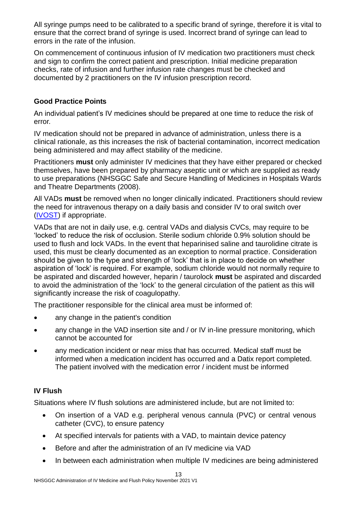All syringe pumps need to be calibrated to a specific brand of syringe, therefore it is vital to ensure that the correct brand of syringe is used. Incorrect brand of syringe can lead to errors in the rate of the infusion.

On commencement of continuous infusion of IV medication two practitioners must check and sign to confirm the correct patient and prescription. Initial medicine preparation checks, rate of infusion and further infusion rate changes must be checked and documented by 2 practitioners on the IV infusion prescription record.

# <span id="page-12-0"></span>**Good Practice Points**

An individual patient's IV medicines should be prepared at one time to reduce the risk of error.

IV medication should not be prepared in advance of administration, unless there is a clinical rationale, as this increases the risk of bacterial contamination, incorrect medication being administered and may affect stability of the medicine.

Practitioners **must** only administer IV medicines that they have either prepared or checked themselves, have been prepared by pharmacy aseptic unit or which are supplied as ready to use preparations (NHSGGC Safe and Secure Handling of Medicines in Hospitals Wards and Theatre Departments (2008).

All VADs **must** be removed when no longer clinically indicated. Practitioners should review the need for intravenous therapy on a daily basis and consider IV to oral switch over [\(IVOST\)](http://www.staffnet.ggc.scot.nhs.uk/Info%20Centre/PoliciesProcedures/GGCClinicalGuidelines/GGC%20Clinical%20Guidelines%20Electronic%20Resource%20Direct/IV%20to%20Oral%20Antibiotic%20Switch%20Guideline%20(IVOST)%20Adult.pdf) if appropriate.

VADs that are not in daily use, e.g. central VADs and dialysis CVCs, may require to be 'locked' to reduce the risk of occlusion. Sterile sodium chloride 0.9% solution should be used to flush and lock VADs. In the event that heparinised saline and taurolidine citrate is used, this must be clearly documented as an exception to normal practice. Consideration should be given to the type and strength of 'lock' that is in place to decide on whether aspiration of 'lock' is required. For example, sodium chloride would not normally require to be aspirated and discarded however, heparin / taurolock **must** be aspirated and discarded to avoid the administration of the 'lock' to the general circulation of the patient as this will significantly increase the risk of coagulopathy.

The practitioner responsible for the clinical area must be informed of:

- any change in the patient's condition
- any change in the VAD insertion site and / or IV in-line pressure monitoring, which cannot be accounted for
- any medication incident or near miss that has occurred. Medical staff must be informed when a medication incident has occurred and a Datix report completed. The patient involved with the medication error / incident must be informed

# <span id="page-12-1"></span>**IV Flush**

Situations where IV flush solutions are administered include, but are not limited to:

- On insertion of a VAD e.g. peripheral venous cannula (PVC) or central venous catheter (CVC), to ensure patency
- At specified intervals for patients with a VAD, to maintain device patency
- Before and after the administration of an IV medicine via VAD
- In between each administration when multiple IV medicines are being administered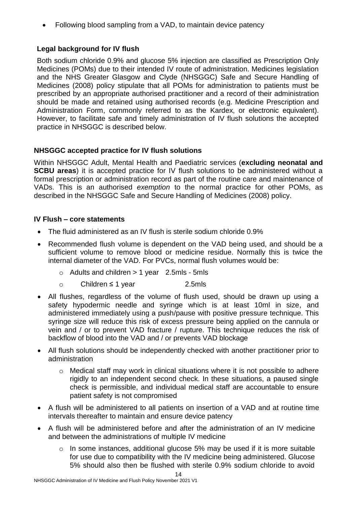Following blood sampling from a VAD, to maintain device patency

# **Legal background for IV flush**

Both sodium chloride 0.9% and glucose 5% injection are classified as Prescription Only Medicines (POMs) due to their intended IV route of administration. Medicines legislation and the NHS Greater Glasgow and Clyde (NHSGGC) Safe and Secure Handling of Medicines (2008) policy stipulate that all POMs for administration to patients must be prescribed by an appropriate authorised practitioner and a record of their administration should be made and retained using authorised records (e.g. Medicine Prescription and Administration Form, commonly referred to as the Kardex, or electronic equivalent). However, to facilitate safe and timely administration of IV flush solutions the accepted practice in NHSGGC is described below.

# **NHSGGC accepted practice for IV flush solutions**

Within NHSGGC Adult, Mental Health and Paediatric services (**excluding neonatal and SCBU areas**) it is accepted practice for IV flush solutions to be administered without a formal prescription or administration record as part of the routine care and maintenance of VADs. This is an authorised *exemption* to the normal practice for other POMs, as described in the NHSGGC Safe and Secure Handling of Medicines (2008) policy.

#### **IV Flush – core statements**

- The fluid administered as an IV flush is sterile sodium chloride 0.9%
- Recommended flush volume is dependent on the VAD being used, and should be a sufficient volume to remove blood or medicine residue. Normally this is twice the internal diameter of the VAD. For PVCs, normal flush volumes would be:
	- $\circ$  Adults and children  $> 1$  year 2.5mls 5mls
	- o Children ≤ 1 year 2.5mls
- All flushes, regardless of the volume of flush used, should be drawn up using a safety hypodermic needle and syringe which is at least 10ml in size, and administered immediately using a push/pause with positive pressure technique. This syringe size will reduce this risk of excess pressure being applied on the cannula or vein and / or to prevent VAD fracture / rupture. This technique reduces the risk of backflow of blood into the VAD and / or prevents VAD blockage
- All flush solutions should be independently checked with another practitioner prior to administration
	- o Medical staff may work in clinical situations where it is not possible to adhere rigidly to an independent second check. In these situations, a paused single check is permissible, and individual medical staff are accountable to ensure patient safety is not compromised
- A flush will be administered to all patients on insertion of a VAD and at routine time intervals thereafter to maintain and ensure device patency
- A flush will be administered before and after the administration of an IV medicine and between the administrations of multiple IV medicine

14

 $\circ$  In some instances, additional glucose 5% may be used if it is more suitable for use due to compatibility with the IV medicine being administered. Glucose 5% should also then be flushed with sterile 0.9% sodium chloride to avoid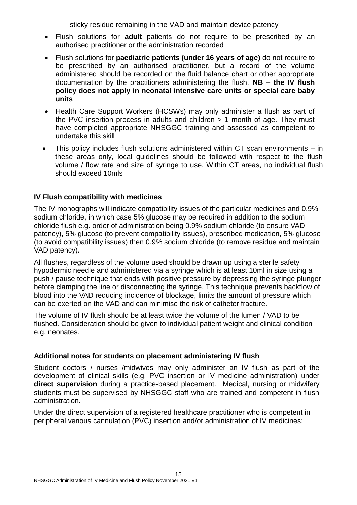sticky residue remaining in the VAD and maintain device patency

- Flush solutions for **adult** patients do not require to be prescribed by an authorised practitioner or the administration recorded
- Flush solutions for **paediatric patients (under 16 years of age)** do not require to be prescribed by an authorised practitioner, but a record of the volume administered should be recorded on the fluid balance chart or other appropriate documentation by the practitioners administering the flush. **NB – the IV flush policy does not apply in neonatal intensive care units or special care baby units**
- Health Care Support Workers (HCSWs) may only administer a flush as part of the PVC insertion process in adults and children > 1 month of age. They must have completed appropriate NHSGGC training and assessed as competent to undertake this skill
- This policy includes flush solutions administered within CT scan environments in these areas only, local guidelines should be followed with respect to the flush volume / flow rate and size of syringe to use. Within CT areas, no individual flush should exceed 10mls

# **IV Flush compatibility with medicines**

The IV monographs will indicate compatibility issues of the particular medicines and 0.9% sodium chloride, in which case 5% glucose may be required in addition to the sodium chloride flush e.g. order of administration being 0.9% sodium chloride (to ensure VAD patency), 5% glucose (to prevent compatibility issues), prescribed medication, 5% glucose (to avoid compatibility issues) then 0.9% sodium chloride (to remove residue and maintain VAD patency).

All flushes, regardless of the volume used should be drawn up using a sterile safety hypodermic needle and administered via a syringe which is at least 10ml in size using a push / pause technique that ends with positive pressure by depressing the syringe plunger before clamping the line or disconnecting the syringe. This technique prevents backflow of blood into the VAD reducing incidence of blockage, limits the amount of pressure which can be exerted on the VAD and can minimise the risk of catheter fracture.

The volume of IV flush should be at least twice the volume of the lumen / VAD to be flushed. Consideration should be given to individual patient weight and clinical condition e.g. neonates.

## **Additional notes for students on placement administering IV flush**

Student doctors / nurses /midwives may only administer an IV flush as part of the development of clinical skills (e.g. PVC insertion or IV medicine administration) under **direct supervision** during a practice-based placement. Medical, nursing or midwifery students must be supervised by NHSGGC staff who are trained and competent in flush administration.

Under the direct supervision of a registered healthcare practitioner who is competent in peripheral venous cannulation (PVC) insertion and/or administration of IV medicines: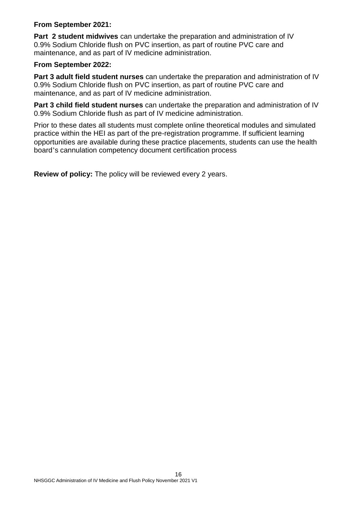#### **From September 2021:**

**Part 2 student midwives** can undertake the preparation and administration of IV 0.9% Sodium Chloride flush on PVC insertion, as part of routine PVC care and maintenance, and as part of IV medicine administration.

#### **From September 2022:**

**Part 3 adult field student nurses** can undertake the preparation and administration of IV 0.9% Sodium Chloride flush on PVC insertion, as part of routine PVC care and maintenance, and as part of IV medicine administration.

**Part 3 child field student nurses** can undertake the preparation and administration of IV 0.9% Sodium Chloride flush as part of IV medicine administration.

Prior to these dates all students must complete online theoretical modules and simulated practice within the HEI as part of the pre-registration programme. If sufficient learning opportunities are available during these practice placements, students can use the health board's cannulation competency document certification process

**Review of policy:** The policy will be reviewed every 2 years.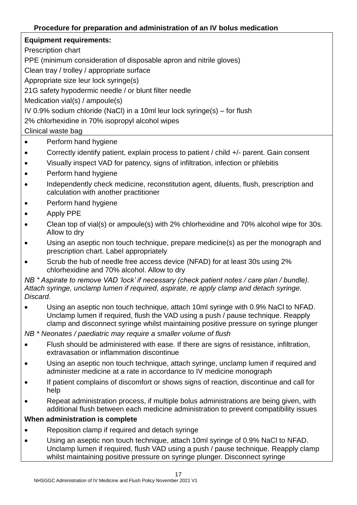# <span id="page-16-0"></span>**Equipment requirements:**

Prescription chart

PPE (minimum consideration of disposable apron and nitrile gloves)

Clean tray / trolley / appropriate surface

Appropriate size leur lock syringe(s)

21G safety hypodermic needle / or blunt filter needle

Medication vial(s) / ampoule(s)

IV 0.9% sodium chloride (NaCl) in a 10ml leur lock syringe(s) – for flush

2% chlorhexidine in 70% isopropyl alcohol wipes

# Clinical waste bag

- Perform hand hygiene
- Correctly identify patient, explain process to patient / child +/- parent. Gain consent
- Visually inspect VAD for patency, signs of infiltration, infection or phlebitis
- Perform hand hygiene
- Independently check medicine, reconstitution agent, diluents, flush, prescription and calculation with another practitioner
- Perform hand hygiene
- Apply PPE
- Clean top of vial(s) or ampoule(s) with 2% chlorhexidine and 70% alcohol wipe for 30s. Allow to dry
- Using an aseptic non touch technique, prepare medicine(s) as per the monograph and prescription chart. Label appropriately
- Scrub the hub of needle free access device (NFAD) for at least 30s using 2% chlorhexidine and 70% alcohol. Allow to dry

*NB \* Aspirate to remove VAD 'lock' if necessary (check patient notes / care plan / bundle). Attach syringe, unclamp lumen if required, aspirate, re apply clamp and detach syringe. Discard.*

 Using an aseptic non touch technique, attach 10ml syringe with 0.9% NaCl to NFAD. Unclamp lumen if required, flush the VAD using a push / pause technique. Reapply clamp and disconnect syringe whilst maintaining positive pressure on syringe plunger

*NB \* Neonates / paediatric may require a smaller volume of flush*

- Flush should be administered with ease. If there are signs of resistance, infiltration, extravasation or inflammation discontinue
- Using an aseptic non touch technique, attach syringe, unclamp lumen if required and administer medicine at a rate in accordance to IV medicine monograph
- If patient complains of discomfort or shows signs of reaction, discontinue and call for help
- Repeat administration process, if multiple bolus administrations are being given, with additional flush between each medicine administration to prevent compatibility issues

# **When administration is complete**

- Reposition clamp if required and detach syringe
- Using an aseptic non touch technique, attach 10ml syringe of 0.9% NaCl to NFAD. Unclamp lumen if required, flush VAD using a push / pause technique. Reapply clamp whilst maintaining positive pressure on syringe plunger. Disconnect syringe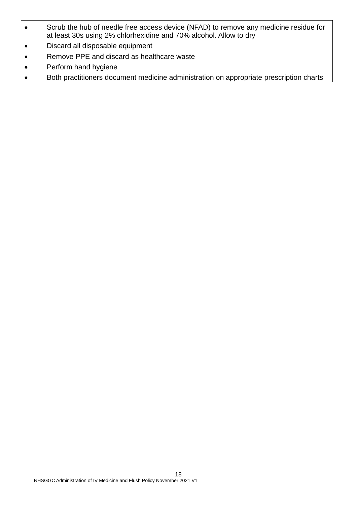- Scrub the hub of needle free access device (NFAD) to remove any medicine residue for at least 30s using 2% chlorhexidine and 70% alcohol. Allow to dry
- Discard all disposable equipment
- Remove PPE and discard as healthcare waste
- Perform hand hygiene
- Both practitioners document medicine administration on appropriate prescription charts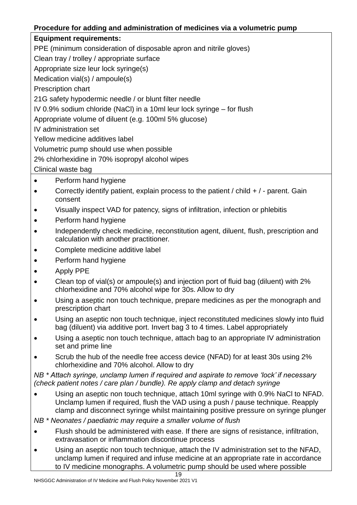# <span id="page-18-0"></span>**Procedure for adding and administration of medicines via a volumetric pump**

# **Equipment requirements:**

PPE (minimum consideration of disposable apron and nitrile gloves)

Clean tray / trolley / appropriate surface

Appropriate size leur lock syringe(s)

Medication vial(s) / ampoule(s)

Prescription chart

21G safety hypodermic needle / or blunt filter needle

IV 0.9% sodium chloride (NaCl) in a 10ml leur lock syringe – for flush

Appropriate volume of diluent (e.g. 100ml 5% glucose)

IV administration set

Yellow medicine additives label

Volumetric pump should use when possible

2% chlorhexidine in 70% isopropyl alcohol wipes

# Clinical waste bag

- Perform hand hygiene
- Correctly identify patient, explain process to the patient / child + / parent. Gain consent
- Visually inspect VAD for patency, signs of infiltration, infection or phlebitis
- Perform hand hygiene
- Independently check medicine, reconstitution agent, diluent, flush, prescription and calculation with another practitioner.
- Complete medicine additive label
- Perform hand hygiene
- Apply PPE
- Clean top of vial(s) or ampoule(s) and injection port of fluid bag (diluent) with 2% chlorhexidine and 70% alcohol wipe for 30s. Allow to dry
- Using a aseptic non touch technique, prepare medicines as per the monograph and prescription chart
- Using an aseptic non touch technique, inject reconstituted medicines slowly into fluid bag (diluent) via additive port. Invert bag 3 to 4 times. Label appropriately
- Using a aseptic non touch technique, attach bag to an appropriate IV administration set and prime line
- Scrub the hub of the needle free access device (NFAD) for at least 30s using 2% chlorhexidine and 70% alcohol. Allow to dry

*NB \* Attach syringe, unclamp lumen if required and aspirate to remove 'lock' if necessary (check patient notes / care plan / bundle). Re apply clamp and detach syringe*

- Using an aseptic non touch technique, attach 10ml syringe with 0.9% NaCl to NFAD. Unclamp lumen if required, flush the VAD using a push / pause technique. Reapply clamp and disconnect syringe whilst maintaining positive pressure on syringe plunger
- *NB \* Neonates / paediatric may require a smaller volume of flush*
- Flush should be administered with ease. If there are signs of resistance, infiltration, extravasation or inflammation discontinue process
- Using an aseptic non touch technique, attach the IV administration set to the NFAD, unclamp lumen if required and infuse medicine at an appropriate rate in accordance to IV medicine monographs. A volumetric pump should be used where possible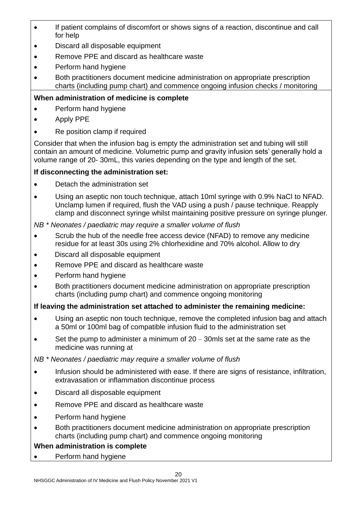- If patient complains of discomfort or shows signs of a reaction, discontinue and call for help
- Discard all disposable equipment
- Remove PPE and discard as healthcare waste
- Perform hand hygiene
- Both practitioners document medicine administration on appropriate prescription charts (including pump chart) and commence ongoing infusion checks / monitoring

# **When administration of medicine is complete**

- Perform hand hygiene
- Apply PPE
- Re position clamp if required

Consider that when the infusion bag is empty the administration set and tubing will still contain an amount of medicine. Volumetric pump and gravity infusion sets' generally hold a volume range of 20- 30mL, this varies depending on the type and length of the set.

## **If disconnecting the administration set:**

- Detach the administration set
- Using an aseptic non touch technique, attach 10ml syringe with 0.9% NaCl to NFAD. Unclamp lumen if required, flush the VAD using a push / pause technique. Reapply clamp and disconnect syringe whilst maintaining positive pressure on syringe plunger.

## *NB \* Neonates / paediatric may require a smaller volume of flush*

- Scrub the hub of the needle free access device (NFAD) to remove any medicine residue for at least 30s using 2% chlorhexidine and 70% alcohol. Allow to dry
- Discard all disposable equipment
- Remove PPE and discard as healthcare waste
- Perform hand hygiene
- Both practitioners document medicine administration on appropriate prescription charts (including pump chart) and commence ongoing monitoring

# **If leaving the administration set attached to administer the remaining medicine:**

- Using an aseptic non touch technique, remove the completed infusion bag and attach a 50ml or 100ml bag of compatible infusion fluid to the administration set
- Set the pump to administer a minimum of 20 30mls set at the same rate as the medicine was running at

## *NB \* Neonates / paediatric may require a smaller volume of flush*

- Infusion should be administered with ease. If there are signs of resistance, infiltration, extravasation or inflammation discontinue process
- Discard all disposable equipment
- Remove PPE and discard as healthcare waste
- Perform hand hygiene
- Both practitioners document medicine administration on appropriate prescription charts (including pump chart) and commence ongoing monitoring

## **When administration is complete**

Perform hand hygiene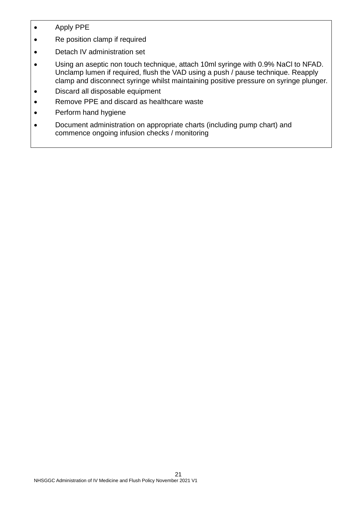- Apply PPE
- Re position clamp if required
- Detach IV administration set
- Using an aseptic non touch technique, attach 10ml syringe with 0.9% NaCl to NFAD. Unclamp lumen if required, flush the VAD using a push / pause technique. Reapply clamp and disconnect syringe whilst maintaining positive pressure on syringe plunger.
- Discard all disposable equipment
- Remove PPE and discard as healthcare waste
- Perform hand hygiene
- Document administration on appropriate charts (including pump chart) and commence ongoing infusion checks / monitoring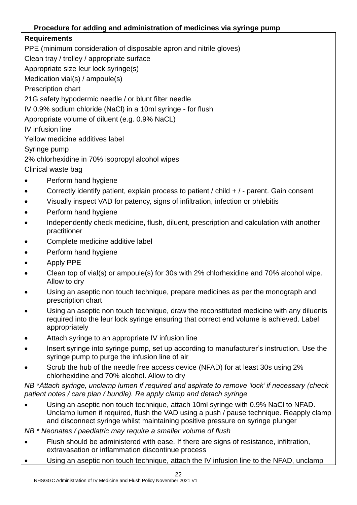# <span id="page-21-0"></span>**Procedure for adding and administration of medicines via syringe pump**

# **Requirements**

PPE (minimum consideration of disposable apron and nitrile gloves)

Clean tray / trolley / appropriate surface

Appropriate size leur lock syringe(s)

Medication vial(s) / ampoule(s)

Prescription chart

21G safety hypodermic needle / or blunt filter needle

IV 0.9% sodium chloride (NaCl) in a 10ml syringe - for flush

Appropriate volume of diluent (e.g. 0.9% NaCL)

IV infusion line

Yellow medicine additives label

Syringe pump

2% chlorhexidine in 70% isopropyl alcohol wipes

# Clinical waste bag

- Perform hand hygiene
- Correctly identify patient, explain process to patient / child + / parent. Gain consent
- Visually inspect VAD for patency, signs of infiltration, infection or phlebitis
- Perform hand hygiene
- Independently check medicine, flush, diluent, prescription and calculation with another practitioner
- Complete medicine additive label
- Perform hand hygiene
- Apply PPE
- Clean top of vial(s) or ampoule(s) for 30s with 2% chlorhexidine and 70% alcohol wipe. Allow to dry
- Using an aseptic non touch technique, prepare medicines as per the monograph and prescription chart
- Using an aseptic non touch technique, draw the reconstituted medicine with any diluents required into the leur lock syringe ensuring that correct end volume is achieved. Label appropriately
- Attach syringe to an appropriate IV infusion line
- Insert syringe into syringe pump, set up according to manufacturer's instruction. Use the syringe pump to purge the infusion line of air
- Scrub the hub of the needle free access device (NFAD) for at least 30s using 2% chlorhexidine and 70% alcohol. Allow to dry

*NB \*Attach syringe, unclamp lumen if required and aspirate to remove 'lock' if necessary (check patient notes / care plan / bundle). Re apply clamp and detach syringe*

 Using an aseptic non touch technique, attach 10ml syringe with 0.9% NaCl to NFAD. Unclamp lumen if required, flush the VAD using a push / pause technique. Reapply clamp and disconnect syringe whilst maintaining positive pressure on syringe plunger

*NB \* Neonates / paediatric may require a smaller volume of flush*

- Flush should be administered with ease. If there are signs of resistance, infiltration, extravasation or inflammation discontinue process
- Using an aseptic non touch technique, attach the IV infusion line to the NFAD, unclamp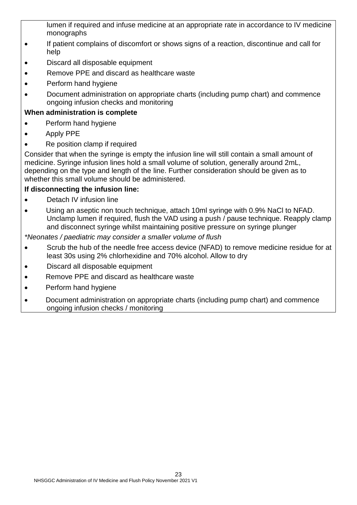lumen if required and infuse medicine at an appropriate rate in accordance to IV medicine monographs

- If patient complains of discomfort or shows signs of a reaction, discontinue and call for help
- Discard all disposable equipment
- Remove PPE and discard as healthcare waste
- Perform hand hygiene
- Document administration on appropriate charts (including pump chart) and commence ongoing infusion checks and monitoring

# **When administration is complete**

- Perform hand hygiene
- Apply PPE
- Re position clamp if required

Consider that when the syringe is empty the infusion line will still contain a small amount of medicine. Syringe infusion lines hold a small volume of solution, generally around 2mL, depending on the type and length of the line. Further consideration should be given as to whether this small volume should be administered.

# **If disconnecting the infusion line:**

- Detach IV infusion line
- Using an aseptic non touch technique, attach 10ml syringe with 0.9% NaCl to NFAD. Unclamp lumen if required, flush the VAD using a push / pause technique. Reapply clamp and disconnect syringe whilst maintaining positive pressure on syringe plunger

*\*Neonates / paediatric may consider a smaller volume of flush*

- Scrub the hub of the needle free access device (NFAD) to remove medicine residue for at least 30s using 2% chlorhexidine and 70% alcohol. Allow to dry
- Discard all disposable equipment
- Remove PPE and discard as healthcare waste
- Perform hand hygiene
- Document administration on appropriate charts (including pump chart) and commence ongoing infusion checks / monitoring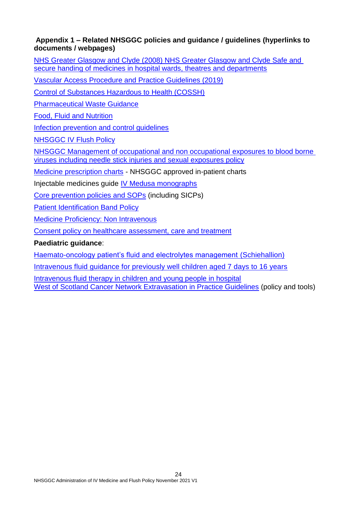## <span id="page-23-0"></span>**Appendix 1 – Related NHSGGC policies and guidance / guidelines (hyperlinks to documents / webpages)**

[NHS Greater Glasgow and Clyde \(2008\) NHS Greater Glasgow and Clyde Safe and](http://www.staffnet.ggc.scot.nhs.uk/Acute/Division%20Wide%20Services/Pharmacy%20and%20Prescribing%20Support%20Unit/Clinical%20Governance/Documents/NHSGGCSafeSecureHandlingofMedicinesinHospitalWards.pdf)  [secure handing of medicines in hospital wards, theatres and departments](http://www.staffnet.ggc.scot.nhs.uk/Acute/Division%20Wide%20Services/Pharmacy%20and%20Prescribing%20Support%20Unit/Clinical%20Governance/Documents/NHSGGCSafeSecureHandlingofMedicinesinHospitalWards.pdf)

[Vascular Access Procedure and Practice Guidelines \(2019\)](http://www.staffnet.ggc.scot.nhs.uk/Acute/Division%20Wide%20Services/Practice%20Development/GGC%20PD%20Calendar/Pages/default.aspx)

[Control of Substances Hazardous to Health \(COSSH\)](http://www.hse.gov.uk/pubns/priced/l5.pdf)

[Pharmaceutical Waste Guidance](http://www.staffnet.ggc.scot.nhs.uk/Acute/Division%20Wide%20Services/Pharmacy%20and%20Prescribing%20Support%20Unit/CG%20Staffnet/Waste%20disposal%20guide%20amended%20230817.pdf)

[Food, Fluid and Nutrition](http://www.staffnet.ggc.scot.nhs.uk/Acute/Division%20Wide%20Services/Food%20Fluid%20And%20Nutrition/Pages/default.aspx)

[Infection prevention and control guidelines](http://www.nhsggc.org.uk/your-health/infection-prevention-and-control/)

[NHSGGC IV Flush Policy](http://www.staffnet.ggc.scot.nhs.uk/Acute/Division%20Wide%20Services/Practice%20Development/Specialist%20and%20Advanced%20Practice/Documents/Acute_division_intravenous_flush_policy.pdf)

[NHSGGC Management of occupational and non occupational](http://library.nhsggc.org.uk/mediaAssets/PHPU/NHSGGC%20MANAGEMENT%20OF%20OCCUPATIONAL%20AND%20NON-OCCUPATIONAL%20EXPOSURES%20TO%20BBV.pdf) exposures to blood borne [viruses including needle stick injuries and sexual exposures policy](http://library.nhsggc.org.uk/mediaAssets/PHPU/NHSGGC%20MANAGEMENT%20OF%20OCCUPATIONAL%20AND%20NON-OCCUPATIONAL%20EXPOSURES%20TO%20BBV.pdf)

[Medicine prescription charts](http://www.staffnet.ggc.scot.nhs.uk/Clinical%20Info/MPC/Pages/MPCHP.aspx) - NHSGGC approved in-patient charts

Injectable medicines guide [IV Medusa monographs](http://www.injguide.nhs.uk/)

[Core prevention policies and SOPs](http://www.nhsggc.org.uk/your-health/infection-prevention-and-control/prevention-and-control-of-infection-manual-policies-sops-guidelines/core-prevention-policies-sops-includes-sicps/) (including SICPs)

[Patient Identification Band Policy](http://www.staffnet.ggc.scot.nhs.uk/Search/Pages/results.aspx?k=identification%20band%20policy&s=All%20Sites)

**[Medicine Proficiency: Non Intravenous](http://www.staffnet.ggc.scot.nhs.uk/Acute/Division%20Wide%20Services/Practice%20Development/Documents/NON%20IV%20Medicines%202016.pdf)** 

[Consent policy on healthcare assessment, care and treatment](http://www.staffnet.ggc.scot.nhs.uk/Corporate%20Services/Clinical%20Governance/Key%20Information/Consent%20to%20Treatment/Consent%20Policy%20FINAL.pdf)

**Paediatric guidance**:

[Haemato-oncology patient's fluid and electrolytes management \(Schiehallion\)](http://www.clinicalguidelines.scot.nhs.uk/media/2190/yor-haem-008-fluid-and-electrolytes-v2.pdf)

[Intravenous fluid guidance for previously well children aged 7 days to 16 years](http://www.clinicalguidelines.scot.nhs.uk/media/2322/intravenous-fluid-guidance-in-previously-well-children-aged-7-days-to-16-yearsb.pdf)

[Intravenous fluid therapy in children and young people in hospital](https://www.nice.org.uk/guidance/ng29)

[West of Scotland Cancer Network Extravasation in Practice Guidelines](http://www.intranet.woscan.scot.nhs.uk/guidelines-and-protocols/extravasation/) (policy and tools)